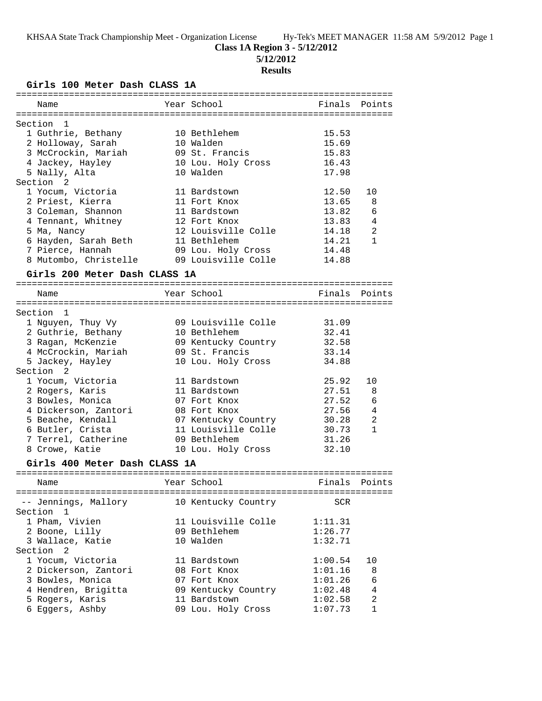**Class 1A Region 3 - 5/12/2012**

**5/12/2012**

# **Results**

**Girls 100 Meter Dash CLASS 1A**

| Name                                                      | Year School                               | Finals              | Points         |
|-----------------------------------------------------------|-------------------------------------------|---------------------|----------------|
|                                                           |                                           |                     |                |
| Section<br>1<br>1 Guthrie, Bethany                        | 10 Bethlehem                              | 15.53               |                |
| 2 Holloway, Sarah                                         | 10 Walden                                 | 15.69               |                |
| 3 McCrockin, Mariah                                       | 09 St. Francis                            | 15.83               |                |
| 4 Jackey, Hayley                                          | 10 Lou. Holy Cross                        | 16.43               |                |
| 5 Nally, Alta                                             | 10 Walden                                 | 17.98               |                |
| Section <sub>2</sub>                                      |                                           |                     |                |
| 1 Yocum, Victoria                                         | 11 Bardstown                              | 12.50               | 10             |
| 2 Priest, Kierra                                          | 11 Fort Knox                              | 13.65               | 8              |
| 3 Coleman, Shannon                                        | 11 Bardstown                              | 13.82               | 6              |
| 4 Tennant, Whitney                                        | 12 Fort Knox                              | 13.83               | 4              |
| 5 Ma, Nancy                                               | 12 Louisville Colle                       | 14.18               | 2              |
| 6 Hayden, Sarah Beth                                      | 11 Bethlehem                              | 14.21               | $\mathbf{1}$   |
| 7 Pierce, Hannah                                          |                                           | 14.48               |                |
| 8 Mutombo, Christelle                                     | 09 Lou. Holy Cross<br>09 Louisville Colle | 14.88               |                |
|                                                           |                                           |                     |                |
| Girls 200 Meter Dash CLASS 1A                             |                                           |                     |                |
| Name                                                      | Year School                               | Finals              | Points         |
|                                                           |                                           |                     |                |
| 1<br>Section                                              |                                           |                     |                |
| 1 Nguyen, Thuy Vy                                         | 09 Louisville Colle                       | 31.09               |                |
| 2 Guthrie, Bethany                                        | 10 Bethlehem                              | 32.41               |                |
| 3 Ragan, McKenzie                                         | 09 Kentucky Country                       | 32.58               |                |
| 4 McCrockin, Mariah                                       | 09 St. Francis                            | 33.14               |                |
| 5 Jackey, Hayley                                          | 10 Lou. Holy Cross                        | 34.88               |                |
| Section 2                                                 |                                           |                     |                |
| 1 Yocum, Victoria                                         | 11 Bardstown                              | 25.92               | 10             |
| 2 Rogers, Karis                                           | 11 Bardstown                              | 27.51               | 8              |
| 3 Bowles, Monica                                          | 07 Fort Knox                              | 27.52               | 6              |
| 4 Dickerson, Zantori                                      | 08 Fort Knox                              | 27.56               | 4              |
| 5 Beache, Kendall                                         | 07 Kentucky Country                       | 30.28               | 2              |
| 6 Butler, Crista                                          | 11 Louisville Colle                       | 30.73               | $\mathbf{1}$   |
| 7 Terrel, Catherine                                       | 09 Bethlehem                              | 31.26               |                |
| 8 Crowe, Katie                                            | 10 Lou. Holy Cross                        | 32.10               |                |
|                                                           |                                           |                     |                |
| Girls 400 Meter Dash CLASS 1A<br>======================== |                                           | =================== |                |
| Name                                                      | Year School                               | Finals              | Points         |
|                                                           |                                           |                     |                |
| -- Jennings, Mallory                                      | 10 Kentucky Country                       | SCR                 |                |
| Section<br>1                                              |                                           |                     |                |
| 1 Pham, Vivien                                            | 11 Louisville Colle                       | 1:11.31             |                |
| 2 Boone, Lilly                                            | 09 Bethlehem                              | 1:26.77             |                |
| 3 Wallace, Katie                                          | 10 Walden                                 | 1:32.71             |                |
| Section 2                                                 |                                           |                     |                |
| 1 Yocum, Victoria                                         | 11 Bardstown                              | 1:00.54             | 10             |
| 2 Dickerson, Zantori                                      | 08 Fort Knox                              | 1:01.16             | 8              |
| 3 Bowles, Monica                                          | 07 Fort Knox                              | 1:01.26             | 6              |
| 4 Hendren, Brigitta                                       | 09 Kentucky Country                       | 1:02.48             | $\overline{4}$ |
| 5 Rogers, Karis                                           | 11 Bardstown                              | 1:02.58             | $\overline{a}$ |
| 6 Eggers, Ashby                                           | 09 Lou. Holy Cross                        | 1:07.73             | 1              |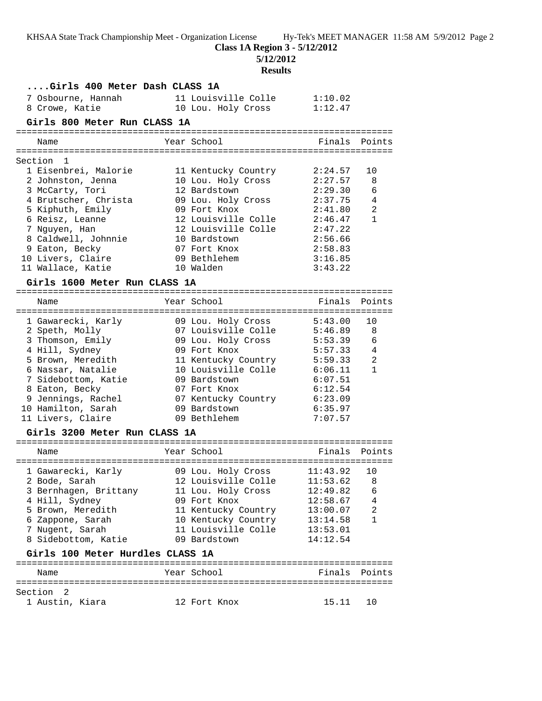**Class 1A Region 3 - 5/12/2012**

**5/12/2012**

# **Results**

| Girls 400 Meter Dash CLASS 1A    |                             |          |               |
|----------------------------------|-----------------------------|----------|---------------|
| 7 Osbourne, Hannah               | 11 Louisville Colle         | 1:10.02  |               |
| 8 Crowe, Katie                   | 10 Lou. Holy Cross          | 1:12.47  |               |
| Girls 800 Meter Run CLASS 1A     |                             |          |               |
|                                  |                             |          |               |
| Name                             | Year School                 |          | Finals Points |
|                                  |                             |          |               |
| Section<br>-1                    |                             |          |               |
| 1 Eisenbrei, Malorie             | 11 Kentucky Country         | 2:24.57  | 10            |
| 2 Johnston, Jenna                | 10 Lou. Holy Cross          | 2:27.57  | 8             |
| 3 McCarty, Tori                  | 12 Bardstown                | 2:29.30  | 6             |
| 4 Brutscher, Christa             | 09 Lou. Holy Cross          | 2:37.75  | 4             |
| 5 Kiphuth, Emily                 | 09 Fort Knox                | 2:41.80  | 2             |
| 6 Reisz, Leanne                  | 12 Louisville Colle         | 2:46.47  | $\mathbf{1}$  |
| 7 Nguyen, Han                    | 12 Louisville Colle 2:47.22 |          |               |
| 8 Caldwell, Johnnie              | 10 Bardstown                | 2:56.66  |               |
| 9 Eaton, Becky                   | 07 Fort Knox                | 2:58.83  |               |
| 10 Livers, Claire                | 09 Bethlehem                | 3:16.85  |               |
| 11 Wallace, Katie                | 10 Walden                   | 3:43.22  |               |
| Girls 1600 Meter Run CLASS 1A    |                             |          |               |
|                                  |                             |          |               |
| Name                             | Year School                 | Finals   | Points        |
|                                  |                             |          |               |
| 1 Gawarecki, Karly               | 09 Lou. Holy Cross          | 5:43.00  | 10            |
| 2 Speth, Molly                   | 07 Louisville Colle 5:46.89 |          | 8             |
| 3 Thomson, Emily                 | 09 Lou. Holy Cross          | 5:53.39  | 6             |
| 4 Hill, Sydney                   | 09 Fort Knox                | 5:57.33  | 4             |
| 5 Brown, Meredith                | 11 Kentucky Country         | 5:59.33  | 2             |
| 6 Nassar, Natalie                | 10 Louisville Colle 6:06.11 |          | $\mathbf{1}$  |
| 7 Sidebottom, Katie              | 09 Bardstown                | 6:07.51  |               |
| 8 Eaton, Becky                   | 07 Fort Knox                | 6:12.54  |               |
| 9 Jennings, Rachel               | 07 Kentucky Country 6:23.09 |          |               |
| 10 Hamilton, Sarah               | 09 Bardstown                | 6:35.97  |               |
| 11 Livers, Claire                | 09 Bethlehem                | 7:07.57  |               |
| Girls 3200 Meter Run CLASS 1A    |                             |          |               |
|                                  |                             |          |               |
| Name                             | Year School                 | Finals   | Points        |
| 1 Gawarecki, Karly               | 09 Lou. Holy Cross          | 11:43.92 | 10            |
| 2 Bode, Sarah                    | 12 Louisville Colle         | 11:53.62 | 8             |
| 3 Bernhagen, Brittany            | 11 Lou. Holy Cross          | 12:49.82 | 6             |
| 4 Hill, Sydney                   | 09 Fort Knox                | 12:58.67 | 4             |
| 5 Brown, Meredith                | 11 Kentucky Country         | 13:00.07 | 2             |
| 6 Zappone, Sarah                 | 10 Kentucky Country         | 13:14.58 | $\mathbf{1}$  |
| 7 Nugent, Sarah                  | 11 Louisville Colle         | 13:53.01 |               |
| 8 Sidebottom, Katie              | 09 Bardstown                | 14:12.54 |               |
|                                  |                             |          |               |
| Girls 100 Meter Hurdles CLASS 1A |                             |          |               |
| Name                             | Year School                 | Finals   | Points        |
|                                  |                             |          |               |
| Section<br>2                     |                             |          |               |
| 1 Austin, Kiara                  | 12 Fort Knox                | 15.11    | 10            |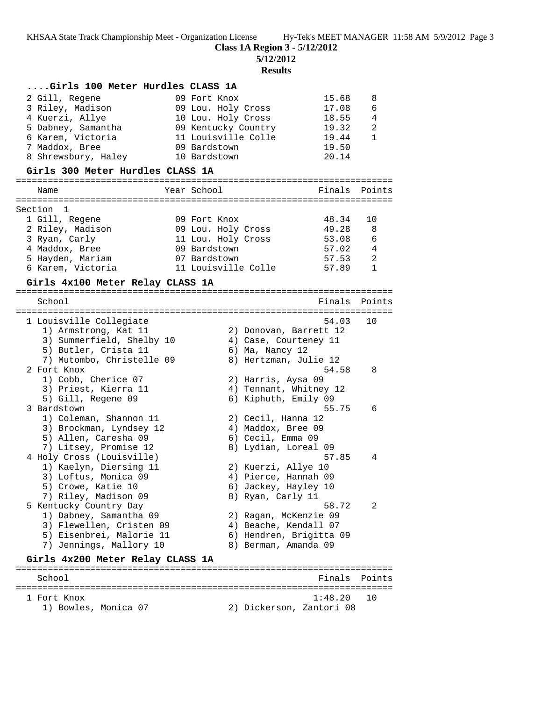**Class 1A Region 3 - 5/12/2012**

**5/12/2012**

**Results**

| Girls 100 Meter Hurdles CLASS 1A<br>2 Gill, Regene<br>3 Riley, Madison |             | 09 Fort Knox | 09 Lou. Holy Cross  | 15.68<br>17.08                                 | 8<br>6 |
|------------------------------------------------------------------------|-------------|--------------|---------------------|------------------------------------------------|--------|
| 4 Kuerzi, Allye                                                        |             |              | 10 Lou. Holy Cross  | 18.55                                          | 4      |
| 5 Dabney, Samantha                                                     |             |              | 09 Kentucky Country | 19.32                                          | 2      |
| 6 Karem, Victoria<br>7 Maddox, Bree                                    |             | 09 Bardstown | 11 Louisville Colle | 19.44<br>19.50                                 | 1      |
| 8 Shrewsbury, Haley                                                    |             | 10 Bardstown |                     | 20.14                                          |        |
| Girls 300 Meter Hurdles CLASS 1A                                       |             |              |                     |                                                |        |
| Name                                                                   | Year School |              |                     | Finals                                         | Points |
| Section 1                                                              |             |              |                     |                                                |        |
| 1 Gill, Regene                                                         |             | 09 Fort Knox |                     | 48.34                                          | 10     |
| 2 Riley, Madison                                                       |             |              | 09 Lou. Holy Cross  | 49.28                                          | 8      |
| 3 Ryan, Carly<br>4 Maddox, Bree                                        |             | 09 Bardstown | 11 Lou. Holy Cross  | 53.08<br>57.02                                 | 6<br>4 |
| 5 Hayden, Mariam                                                       |             | 07 Bardstown |                     | 57.53                                          | 2      |
| 6 Karem, Victoria                                                      |             |              | 11 Louisville Colle | 57.89                                          | 1      |
| Girls 4x100 Meter Relay CLASS 1A                                       |             |              |                     |                                                |        |
|                                                                        |             |              |                     |                                                |        |
| School                                                                 |             |              |                     | Finals                                         | Points |
| 1 Louisville Collegiate                                                |             |              |                     | 54.03                                          | 10     |
| 1) Armstrong, Kat 11                                                   |             |              |                     | 2) Donovan, Barrett 12                         |        |
| 3) Summerfield, Shelby 10                                              |             |              |                     | 4) Case, Courteney 11                          |        |
| 5) Butler, Crista 11<br>7) Mutombo, Christelle 09                      |             |              | 6) Ma, Nancy 12     | 8) Hertzman, Julie 12                          |        |
| 2 Fort Knox                                                            |             |              |                     | 54.58                                          | 8      |
| 1) Cobb, Cherice 07                                                    |             |              |                     | 2) Harris, Aysa 09                             |        |
| 3) Priest, Kierra 11                                                   |             |              |                     | 4) Tennant, Whitney 12                         |        |
| 5) Gill, Regene 09                                                     |             |              |                     | 6) Kiphuth, Emily 09                           |        |
| 3 Bardstown<br>1) Coleman, Shannon 11                                  |             |              |                     | 55.75<br>2) Cecil, Hanna 12                    | 6      |
| 3) Brockman, Lyndsey 12                                                |             |              |                     | 4) Maddox, Bree 09                             |        |
| 5) Allen, Caresha 09                                                   |             |              | 6) Cecil, Emma 09   |                                                |        |
| 7) Litsey, Promise 12                                                  |             |              |                     | 8) Lydian, Loreal 09                           |        |
| 4 Holy Cross (Louisville)<br>1) Kaelyn, Diersing 11                    |             |              |                     | 57.85<br>2) Kuerzi, Allye 10                   | 4      |
| 3) Loftus, Monica 09                                                   |             |              |                     | 4) Pierce, Hannah 09                           |        |
| 5) Crowe, Katie 10                                                     |             |              |                     | 6) Jackey, Hayley 10                           |        |
| 7) Riley, Madison 09                                                   |             |              | 8) Ryan, Carly 11   |                                                |        |
| 5 Kentucky Country Day                                                 |             |              |                     | 58.72                                          | 2      |
| 1) Dabney, Samantha 09<br>3) Flewellen, Cristen 09                     |             |              |                     | 2) Ragan, McKenzie 09<br>4) Beache, Kendall 07 |        |
| 5) Eisenbrei, Malorie 11                                               |             |              |                     | 6) Hendren, Brigitta 09                        |        |
| 7) Jennings, Mallory 10                                                |             |              |                     | 8) Berman, Amanda 09                           |        |
| Girls 4x200 Meter Relay CLASS 1A                                       |             |              |                     |                                                |        |
|                                                                        |             |              |                     |                                                |        |
| School                                                                 |             |              |                     | Finals                                         | Points |
| 1 Fort Knox                                                            |             |              |                     | 1:48.20                                        | 10     |

1) Bowles, Monica 07 2) Dickerson, Zantori 08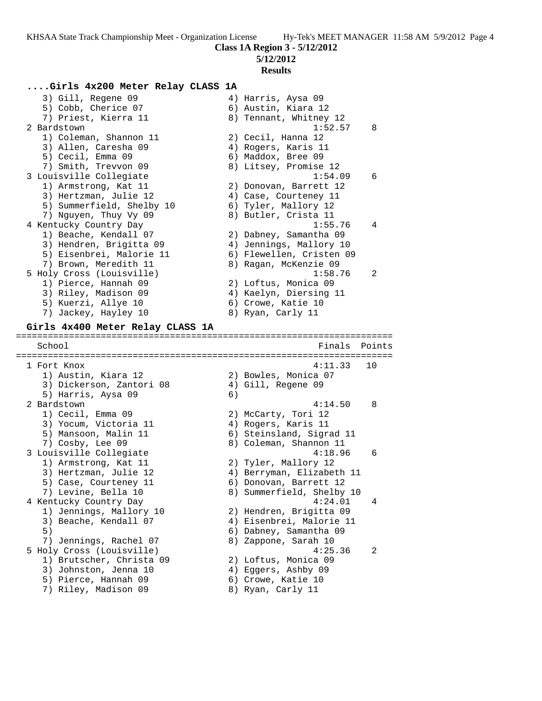**5/12/2012**

### **Results**

### **....Girls 4x200 Meter Relay CLASS 1A**

3) Gill, Regene 09 (4) Harris, Aysa 09 5) Cobb, Cherice 07 (6) Austin, Kiara 12 7) Priest, Kierra 11  $\hphantom{i}$  8) Tennant, Whitney 12 2 Bardstown 1:52.57 8 1) Coleman, Shannon 11 (2) Cecil, Hanna 12 3) Allen, Caresha 09 (4) Rogers, Karis 11 5) Cecil, Emma 09 6) Maddox, Bree 09 7) Smith, Trevvon 09 8) Litsey, Promise 12 3 Louisville Collegiate 1:54.09 6 1) Armstrong, Kat 11 2) Donovan, Barrett 12 3) Hertzman, Julie 12  $\hskip1cm$  4) Case, Courteney 11 5) Summerfield, Shelby 10 6) Tyler, Mallory 12 7) Nguyen, Thuy Vy 09  $\hskip1cm 8)$  Butler, Crista 11 4 Kentucky Country Day 1:55.76 4 1) Beache, Kendall 07 2) Dabney, Samantha 09 3) Hendren, Brigitta 09 4) Jennings, Mallory 10 5) Eisenbrei, Malorie 11 6) Flewellen, Cristen 09 7) Brown, Meredith 11 8) Ragan, McKenzie 09 5 Holy Cross (Louisville) 1:58.76 2 1) Pierce, Hannah 09 2) Loftus, Monica 09 3) Riley, Madison 09 4) Kaelyn, Diersing 11 5) Kuerzi, Allye 10 (6) Crowe, Katie 10 7) Jackey, Hayley 10 8) Ryan, Carly 11 **Girls 4x400 Meter Relay CLASS 1A** ======================================================================= Finals Points ======================================================================= 1 Fort Knox 4:11.33 10 1) Austin, Kiara 12 2) Bowles, Monica 07 3) Dickerson, Zantori 08 4) Gill, Regene 09 5) Harris, Aysa 09 (6) 2 Bardstown 4:14.50 8 1) Cecil, Emma 09 2) McCarty, Tori 12 3) Yocum, Victoria 11 (4) Rogers, Karis 11 5) Mansoon, Malin 11 6) Steinsland, Sigrad 11 7) Cosby, Lee 09 8) Coleman, Shannon 11 3 Louisville Collegiate 4:18.96 6 1) Armstrong, Kat 11  $\qquad \qquad$  2) Tyler, Mallory 12 3) Hertzman, Julie 12 4) Berryman, Elizabeth 11 5) Case, Courteney 11 (6) Donovan, Barrett 12 7) Levine, Bella 10 8) Summerfield, Shelby 10 4 Kentucky Country Day 4:24.01 4 1) Jennings, Mallory 10 2) Hendren, Brigitta 09 3) Beache, Kendall 07 4) Eisenbrei, Malorie 11 5) 6) Dabney, Samantha 09 7) Jennings, Rachel 07 8) Zappone, Sarah 10 5 Holy Cross (Louisville) 4:25.36 2 1) Brutscher, Christa 09 2) Loftus, Monica 09 3) Johnston, Jenna 10 4) Eggers, Ashby 09 5) Pierce, Hannah 09 6) Crowe, Katie 10 7) Riley, Madison 09 8) Ryan, Carly 11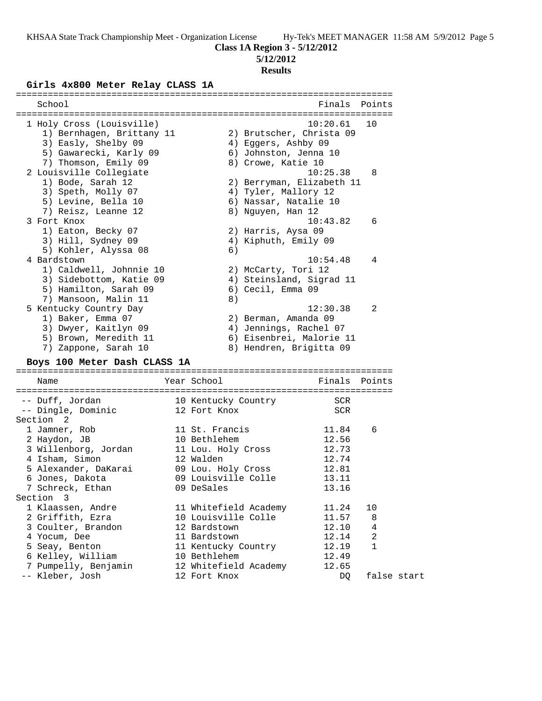**Class 1A Region 3 - 5/12/2012**

### **5/12/2012**

#### **Results**

#### **Girls 4x800 Meter Relay CLASS 1A**

| School                    |    | Finals Points             |                |
|---------------------------|----|---------------------------|----------------|
|                           |    |                           |                |
| 1 Holy Cross (Louisville) |    | 10:20.61                  | 1 O            |
| 1) Bernhagen, Brittany 11 |    | 2) Brutscher, Christa 09  |                |
| 3) Easly, Shelby 09       |    | 4) Eqqers, Ashby 09       |                |
| 5) Gawarecki, Karly 09    |    | 6) Johnston, Jenna 10     |                |
| 7) Thomson, Emily 09      |    | 8) Crowe, Katie 10        |                |
| 2 Louisville Collegiate   |    | 10:25.38                  | 8              |
| 1) Bode, Sarah 12         |    | 2) Berryman, Elizabeth 11 |                |
| 3) Speth, Molly 07        |    | 4) Tyler, Mallory 12      |                |
| 5) Levine, Bella 10       |    | 6) Nassar, Natalie 10     |                |
| 7) Reisz, Leanne 12       |    | 8) Nguyen, Han 12         |                |
| 3 Fort Knox               |    | 10:43.82                  | 6              |
| 1) Eaton, Becky 07        |    | 2) Harris, Aysa 09        |                |
| 3) Hill, Sydney 09        |    | 4) Kiphuth, Emily 09      |                |
| 5) Kohler, Alyssa 08      | 6) |                           |                |
| 4 Bardstown               |    | 10:54.48                  | 4              |
| 1) Caldwell, Johnnie 10   |    | 2) McCarty, Tori 12       |                |
| 3) Sidebottom, Katie 09   |    | 4) Steinsland, Sigrad 11  |                |
| 5) Hamilton, Sarah 09     |    | 6) Cecil, Emma 09         |                |
| 7) Mansoon, Malin 11      | 8) |                           |                |
| 5 Kentucky Country Day    |    | 12:30.38                  | $\mathfrak{D}$ |
| 1) Baker, Emma 07         |    | 2) Berman, Amanda 09      |                |
| 3) Dwyer, Kaitlyn 09      | 4) | Jennings, Rachel 07       |                |
| 5) Brown, Meredith 11     |    | 6) Eisenbrei, Malorie 11  |                |
| Zappone, Sarah 10<br>7)   |    | 8) Hendren, Brigitta 09   |                |
|                           |    |                           |                |

#### **Boys 100 Meter Dash CLASS 1A**

======================================================================= Name The Year School Control of Finals Points ======================================================================= -- Duff, Jordan 10 Kentucky Country SCR -- Dingle, Dominic 12 Fort Knox SCR Section 2 1 Jamner, Rob 11 St. Francis 11.84 6 2 Haydon, JB 10 Bethlehem 12.56 3 Willenborg, Jordan 11 Lou. Holy Cross 12.73 4 Isham, Simon 12 Walden 12.74 5 Alexander, DaKarai 09 Lou. Holy Cross 12.81 6 Jones, Dakota 09 Louisville Colle 13.11 7 Schreck, Ethan 13.16 Section 3 1 Klaassen, Andre 11 Whitefield Academy 11.24 10 2 Griffith, Ezra 10 Louisville Colle 11.57 8 3 Coulter, Brandon 12 Bardstown 12.10 4 4 Yocum, Dee 11 Bardstown 12.14 2 5 Seay, Benton 11 Kentucky Country 12.19 1 6 Kelley, William 10 Bethlehem 12.49 7 Pumpelly, Benjamin 12 Whitefield Academy 12.65 -- Kleber, Josh 12 Fort Knox DQ false start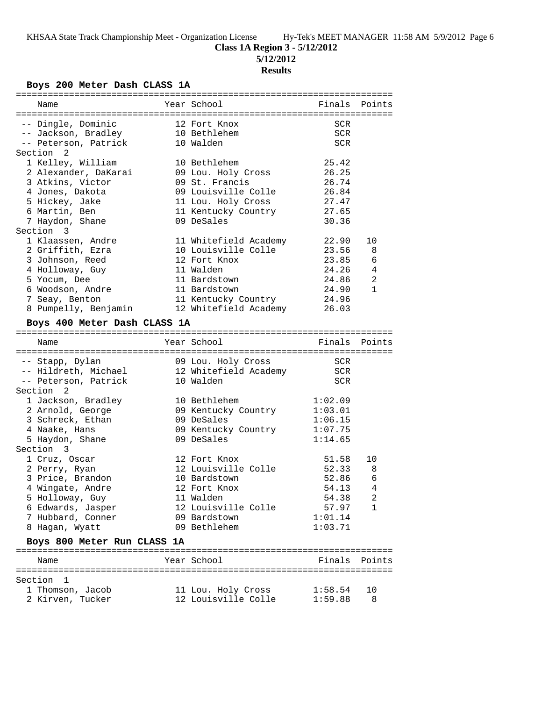**5/12/2012**

## **Results**

## **Boys 200 Meter Dash CLASS 1A**

|  | Name                                 |  | Year School                               | Finals             | Points         |  |
|--|--------------------------------------|--|-------------------------------------------|--------------------|----------------|--|
|  |                                      |  |                                           |                    |                |  |
|  | -- Dingle, Dominic                   |  | 12 Fort Knox                              | SCR                |                |  |
|  | -- Jackson, Bradley                  |  | 10 Bethlehem                              | SCR                |                |  |
|  | -- Peterson, Patrick                 |  | 10 Walden                                 | <b>SCR</b>         |                |  |
|  | Section 2                            |  |                                           |                    |                |  |
|  | 1 Kelley, William                    |  | 10 Bethlehem                              | 25.42              |                |  |
|  | 2 Alexander, DaKarai                 |  | 09 Lou. Holy Cross                        | 26.25              |                |  |
|  | 3 Atkins, Victor                     |  | 09 St. Francis                            | 26.74              |                |  |
|  | 4 Jones, Dakota                      |  | 09 Louisville Colle                       | 26.84              |                |  |
|  | 5 Hickey, Jake                       |  | 11 Lou. Holy Cross                        | 27.47              |                |  |
|  | 6 Martin, Ben                        |  | 11 Kentucky Country                       | 27.65              |                |  |
|  | 7 Haydon, Shane                      |  | 09 DeSales                                | 30.36              |                |  |
|  | Section 3                            |  |                                           |                    |                |  |
|  | 1 Klaassen, Andre                    |  | 11 Whitefield Academy                     | 22.90              | 10             |  |
|  | 2 Griffith, Ezra                     |  | 10 Louisville Colle                       | 23.56              | 8              |  |
|  | 3 Johnson, Reed                      |  | 12 Fort Knox                              | 23.85              | 6              |  |
|  | 4 Holloway, Guy                      |  | 11 Walden                                 | 24.26              | 4              |  |
|  | 5 Yocum, Dee                         |  | 11 Bardstown                              | 24.86              | 2              |  |
|  | 6 Woodson, Andre                     |  | 11 Bardstown                              | 24.90              | $\mathbf{1}$   |  |
|  | 7 Seay, Benton                       |  | 11 Kentucky Country                       | 24.96              |                |  |
|  | 8 Pumpelly, Benjamin                 |  | 12 Whitefield Academy                     | 26.03              |                |  |
|  | Boys 400 Meter Dash CLASS 1A         |  |                                           |                    |                |  |
|  |                                      |  |                                           |                    |                |  |
|  | Name                                 |  | Year School                               | Finals             | Points         |  |
|  |                                      |  |                                           |                    |                |  |
|  |                                      |  |                                           |                    |                |  |
|  |                                      |  |                                           |                    |                |  |
|  | -- Stapp, Dylan                      |  | 09 Lou. Holy Cross                        | SCR                |                |  |
|  | -- Hildreth, Michael                 |  | 12 Whitefield Academy                     | <b>SCR</b>         |                |  |
|  | -- Peterson, Patrick<br>-2           |  | 10 Walden                                 | <b>SCR</b>         |                |  |
|  | Section                              |  |                                           |                    |                |  |
|  | 1 Jackson, Bradley                   |  | 10 Bethlehem                              | 1:02.09            |                |  |
|  | 2 Arnold, George                     |  | 09 Kentucky Country                       | 1:03.01            |                |  |
|  | 3 Schreck, Ethan                     |  | 09 DeSales                                | 1:06.15            |                |  |
|  | 4 Naake, Hans                        |  | 09 Kentucky Country<br>09 DeSales         | 1:07.75<br>1:14.65 |                |  |
|  | 5 Haydon, Shane                      |  |                                           |                    |                |  |
|  | Section 3                            |  | 12 Fort Knox                              |                    |                |  |
|  | 1 Cruz, Oscar                        |  |                                           | 51.58              | 10             |  |
|  | 2 Perry, Ryan                        |  | 12 Louisville Colle<br>10 Bardstown       | 52.33<br>52.86     | 8<br>6         |  |
|  | 3 Price, Brandon                     |  |                                           |                    |                |  |
|  | 4 Wingate, Andre                     |  | 12 Fort Knox<br>11 Walden                 | 54.13              | $\overline{4}$ |  |
|  | 5 Holloway, Guy                      |  |                                           | 54.38              | 2<br>1         |  |
|  | 6 Edwards, Jasper                    |  | 12 Louisville Colle                       | 57.97              |                |  |
|  | 7 Hubbard, Conner                    |  | 09 Bardstown<br>09 Bethlehem              | 1:01.14<br>1:03.71 |                |  |
|  | 8 Hagan, Wyatt                       |  |                                           |                    |                |  |
|  | Boys 800 Meter Run CLASS 1A          |  |                                           |                    |                |  |
|  | Name                                 |  | Year School                               | Finals             | Points         |  |
|  |                                      |  |                                           |                    |                |  |
|  | Section 1                            |  |                                           |                    |                |  |
|  | 1 Thomson, Jacob<br>2 Kirven, Tucker |  | 11 Lou. Holy Cross<br>12 Louisville Colle | 1:58.54<br>1:59.88 | 10<br>8        |  |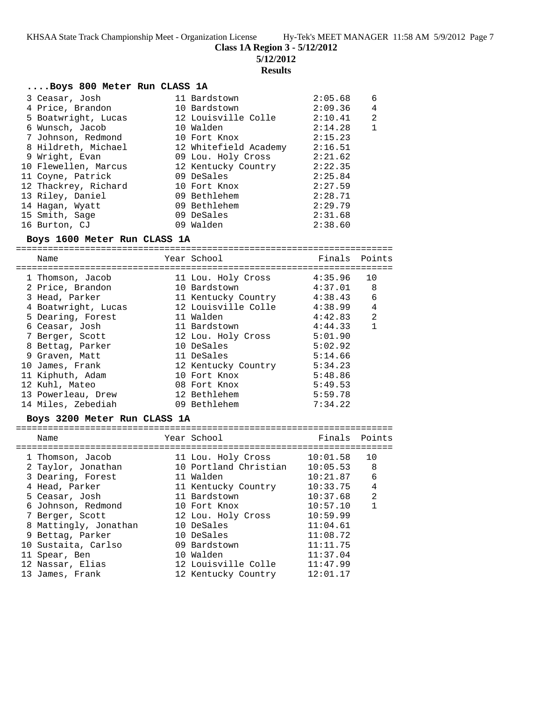**Class 1A Region 3 - 5/12/2012**

**5/12/2012**

#### **Results**

### **....Boys 800 Meter Run CLASS 1A**

| 3 Ceasar, Josh       | 11 Bardstown          | 2:05.68 | 6              |
|----------------------|-----------------------|---------|----------------|
| 4 Price, Brandon     | 10 Bardstown          | 2:09.36 | 4              |
| 5 Boatwright, Lucas  | 12 Louisville Colle   | 2:10.41 | $\overline{2}$ |
| 6 Wunsch, Jacob      | 10 Walden             | 2:14.28 | $\mathbf 1$    |
| 7 Johnson, Redmond   | 10 Fort Knox          | 2:15.23 |                |
| 8 Hildreth, Michael  | 12 Whitefield Academy | 2:16.51 |                |
| 9 Wright, Evan       | 09 Lou. Holy Cross    | 2:21.62 |                |
| 10 Flewellen, Marcus | 12 Kentucky Country   | 2:22.35 |                |
| 11 Coyne, Patrick    | 09 DeSales            | 2:25.84 |                |
| 12 Thackrey, Richard | 10 Fort Knox          | 2:27.59 |                |
| 13 Riley, Daniel     | 09 Bethlehem          | 2:28.71 |                |
| 14 Hagan, Wyatt      | 09 Bethlehem          | 2:29.79 |                |
| 15 Smith, Sage       | 09 DeSales            | 2:31.68 |                |
| 16 Burton, CJ        | 09 Walden             | 2:38.60 |                |

## **Boys 1600 Meter Run CLASS 1A**

======================================================================= Name **Name** Year School **Finals Points** ======================================================================= 1 Thomson, Jacob 11 Lou. Holy Cross 4:35.96 10 2 Price, Brandon 10 Bardstown 4:37.01 8 3 Head, Parker 11 Kentucky Country 4:38.43 6 4 Boatwright, Lucas 12 Louisville Colle 4:38.99 4 5 Dearing, Forest 11 Walden 4:42.83 2 6 Ceasar, Josh 11 Bardstown 4:44.33 1 7 Berger, Scott 12 Lou. Holy Cross 5:01.90 8 Bettag, Parker 10 DeSales 5:02.92 9 Graven, Matt 11 DeSales 5:14.66 10 James, Frank 12 Kentucky Country 5:34.23 11 Kiphuth, Adam 10 Fort Knox 5:48.86 12 Kuhl, Mateo 08 Fort Knox 5:49.53 13 Powerleau, Drew 12 Bethlehem 5:59.78 14 Miles, Zebediah 09 Bethlehem 7:34.22

### **Boys 3200 Meter Run CLASS 1A**

| Name                  | Year School           | Finals   | Points         |
|-----------------------|-----------------------|----------|----------------|
| 1 Thomson, Jacob      | 11 Lou. Holy Cross    | 10:01.58 | 10             |
| 2 Taylor, Jonathan    | 10 Portland Christian | 10:05.53 | 8              |
| 3 Dearing, Forest     | 11 Walden             | 10:21.87 | 6              |
| 4 Head, Parker        | 11 Kentucky Country   | 10:33.75 | 4              |
| 5 Ceasar, Josh        | 11 Bardstown          | 10:37.68 | $\mathfrak{D}$ |
| 6 Johnson, Redmond    | 10 Fort Knox          | 10:57.10 |                |
| 7 Berger, Scott       | 12 Lou. Holy Cross    | 10:59.99 |                |
| 8 Mattingly, Jonathan | 10 DeSales            | 11:04.61 |                |
| 9 Bettag, Parker      | 10 DeSales            | 11:08.72 |                |
| 10 Sustaita, Carlso   | 09 Bardstown          | 11:11.75 |                |
| 11 Spear, Ben         | 10 Walden             | 11:37.04 |                |
| 12 Nassar, Elias      | 12 Louisville Colle   | 11:47.99 |                |
| 13 James, Frank       | 12 Kentucky Country   | 12:01.17 |                |
|                       |                       |          |                |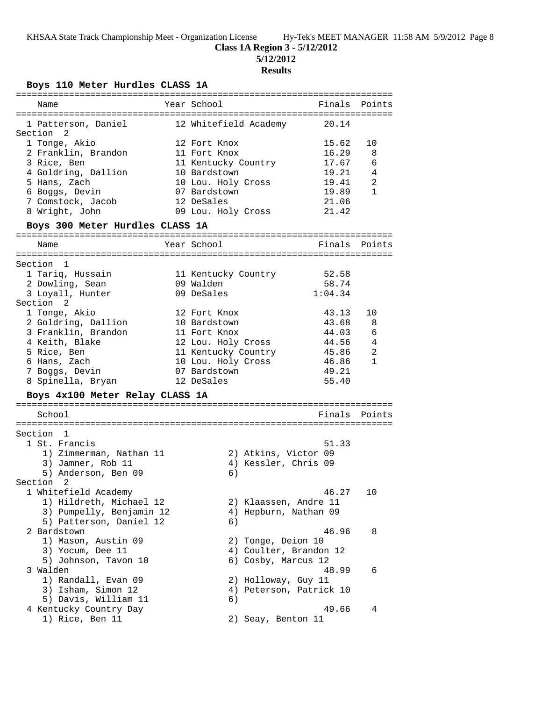# **Class 1A Region 3 - 5/12/2012**

**5/12/2012**

# **Results**

# **Boys 110 Meter Hurdles CLASS 1A**

| ===========================     |                         |         |              |
|---------------------------------|-------------------------|---------|--------------|
| Name                            | Year School             | Finals  | Points       |
| 1 Patterson, Daniel             | 12 Whitefield Academy   | 20.14   |              |
| Section 2                       |                         |         |              |
| 1 Tonge, Akio                   | 12 Fort Knox            | 15.62   | 10           |
| 2 Franklin, Brandon             | 11 Fort Knox            | 16.29   | 8            |
| 3 Rice, Ben                     | 11 Kentucky Country     | 17.67   | - 6          |
| 4 Goldring, Dallion             | 10 Bardstown            | 19.21   | 4            |
| 5 Hans, Zach                    | 10 Lou. Holy Cross      | 19.41   | 2            |
| 6 Boggs, Devin                  | 07 Bardstown            | 19.89   | $\mathbf{1}$ |
| 7 Comstock, Jacob               | 12 DeSales              | 21.06   |              |
| 8 Wright, John                  | 09 Lou. Holy Cross      | 21.42   |              |
| Boys 300 Meter Hurdles CLASS 1A |                         |         |              |
|                                 |                         |         |              |
| Name                            | Year School             | Finals  | Points       |
| Section 1                       |                         |         |              |
| 1 Tariq, Hussain                | 11 Kentucky Country     | 52.58   |              |
| 2 Dowling, Sean                 | 09 Walden               | 58.74   |              |
| 3 Loyall, Hunter                | 09 DeSales              | 1:04.34 |              |
| Section 2                       |                         |         |              |
| 1 Tonge, Akio                   | 12 Fort Knox            | 43.13   | 10           |
| 2 Goldring, Dallion             | 10 Bardstown            | 43.68   | -8           |
| 3 Franklin, Brandon             | 11 Fort Knox            | 44.03   | - 6          |
| 4 Keith, Blake                  | 12 Lou. Holy Cross      | 44.56   | 4            |
| 5 Rice, Ben                     | 11 Kentucky Country     | 45.86   | 2            |
| 6 Hans, Zach                    | 10 Lou. Holy Cross      | 46.86   | $\mathbf{1}$ |
| 7 Boggs, Devin                  | 07 Bardstown            | 49.21   |              |
| 8 Spinella, Bryan               | 12 DeSales              | 55.40   |              |
| Boys 4x100 Meter Relay CLASS 1A |                         |         |              |
| School                          |                         | Finals  | Points       |
|                                 |                         |         |              |
| Section 1                       |                         |         |              |
| 1 St. Francis                   |                         | 51.33   |              |
| 1) Zimmerman, Nathan 11         | 2) Atkins, Victor 09    |         |              |
| 3) Jamner, Rob 11               | 4) Kessler, Chris 09    |         |              |
| 5) Anderson, Ben 09             | 6)                      |         |              |
| Section<br>2                    |                         |         |              |
| 1 Whitefield Academy            |                         | 46.27   | 10           |
| 1) Hildreth, Michael 12         | 2) Klaassen, Andre 11   |         |              |
| 3) Pumpelly, Benjamin 12        | 4) Hepburn, Nathan 09   |         |              |
| 5) Patterson, Daniel 12         | 6)                      |         |              |
| 2 Bardstown                     |                         | 46.96   | 8            |
| 1) Mason, Austin 09             | 2) Tonge, Deion 10      |         |              |
| 3) Yocum, Dee 11                | 4) Coulter, Brandon 12  |         |              |
| 5) Johnson, Tavon 10            | 6) Cosby, Marcus 12     |         |              |
| 3 Walden                        |                         | 48.99   | 6            |
| 1) Randall, Evan 09             | 2) Holloway, Guy 11     |         |              |
| 3) Isham, Simon 12              | 4) Peterson, Patrick 10 |         |              |
| 5) Davis, William 11            | 6)                      |         |              |
|                                 |                         | 49.66   | 4            |
| 4 Kentucky Country Day          |                         |         |              |
| 1) Rice, Ben 11                 | 2) Seay, Benton 11      |         |              |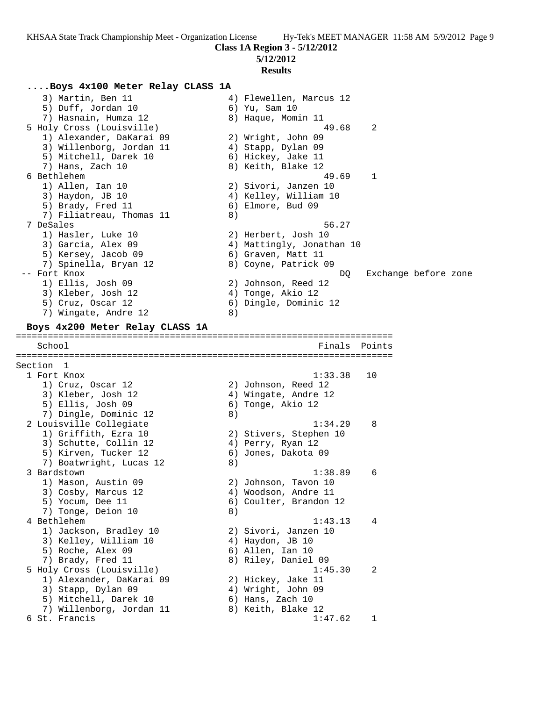**Class 1A Region 3 - 5/12/2012**

**5/12/2012**

#### **Results**

### **....Boys 4x100 Meter Relay CLASS 1A**

 3) Martin, Ben 11 4) Flewellen, Marcus 12 5) Duff, Jordan 10 6) Yu, Sam 10 7) Hasnain, Humza 12 8) Haque, Momin 11 5 Holy Cross (Louisville) 49.68 2 1) Alexander, DaKarai 09 2) Wright, John 09 3) Willenborg, Jordan 11 (4) Stapp, Dylan 09 5) Mitchell, Darek 10 (6) Hickey, Jake 11 7) Hans, Zach 10 8) Keith, Blake 12 6 Bethlehem 49.69 1 1) Allen, Ian 10 2) Sivori, Janzen 10 3) Haydon, JB 10 4) Kelley, William 10 5) Brady, Fred 11 6) Elmore, Bud 09 7) Filiatreau, Thomas 11 (8) 7 DeSales 56.27 1) Hasler, Luke 10 2) Herbert, Josh 10 3) Garcia, Alex 09 4) Mattingly, Jonathan 10 5) Kersey, Jacob 09 6) Graven, Matt 11 7) Spinella, Bryan 12 18 8) Coyne, Patrick 09 -- Fort Knox DQ Exchange before zone 1) Ellis, Josh 09 2) Johnson, Reed 12 3) Kleber, Josh 12 (4) Tonge, Akio 12 5) Cruz, Oscar 12 6) Dingle, Dominic 12 7) Wingate, Andre 12 (8) **Boys 4x200 Meter Relay CLASS 1A** ======================================================================= Finals Points ======================================================================= Section 1 1 Fort Knox 1:33.38 10 1) Cruz, Oscar 12 2) Johnson, Reed 12 3) Kleber, Josh 12 (4) Wingate, Andre 12 5) Ellis, Josh 09 6) Tonge, Akio 12 7) Dingle, Dominic 12 (8) 2 Louisville Collegiate 1:34.29 8 1) Griffith, Ezra 10 2) Stivers, Stephen 10 3) Schutte, Collin 12 (4) Perry, Ryan 12 5) Kirven, Tucker 12 6) Jones, Dakota 09 7) Boatwright, Lucas 12 (8) 3 Bardstown 1:38.89 6 1) Mason, Austin 09 2) Johnson, Tavon 10 3) Cosby, Marcus 12 (4) Woodson, Andre 11 5) Yocum, Dee 11 6) Coulter, Brandon 12 7) Tonge, Deion 10 (8) 4 Bethlehem 1:43.13 4 1) Jackson, Bradley 10 2) Sivori, Janzen 10 3) Kelley, William 10  $\hskip1cm$  4) Haydon, JB 10 5) Roche, Alex 09 (6) Allen, Ian 10 7) Brady, Fred 11 8) Riley, Daniel 09 5 Holy Cross (Louisville) 1:45.30 2 1) Alexander, DaKarai 09 2) Hickey, Jake 11 3) Stapp, Dylan 09 4) Wright, John 09 5) Mitchell, Darek 10 (6) Hans, Zach 10 7) Willenborg, Jordan 11  $\qquad \qquad$  8) Keith, Blake 12 6 St. Francis 1:47.62 1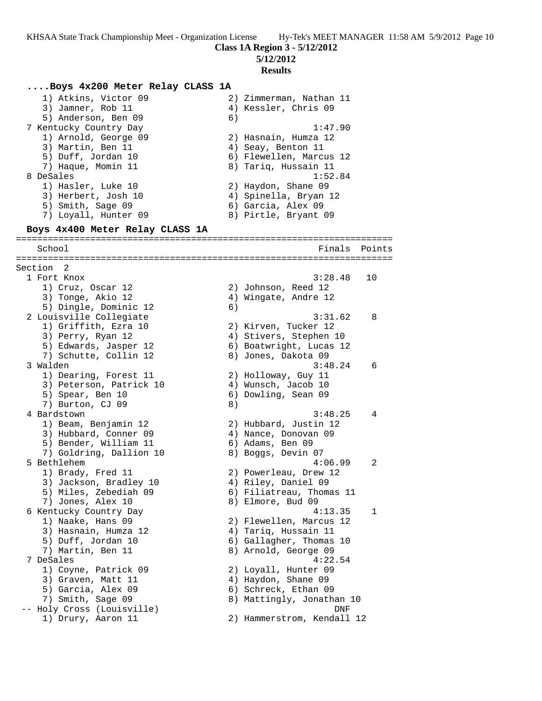**5/12/2012**

#### **Results**

## **....Boys 4x200 Meter Relay CLASS 1A**

 1) Atkins, Victor 09 2) Zimmerman, Nathan 11 3) Jamner, Rob 11 (4) Kessler, Chris 09 5) Anderson, Ben 09 (6) 7 Kentucky Country Day 1:47.90 1) Arnold, George 09 2) Hasnain, Humza 12 3) Martin, Ben 11 (4) Seay, Benton 11 5) Duff, Jordan 10 6) Flewellen, Marcus 12 7) Haque, Momin 11  $\hphantom{i}$  8) Tariq, Hussain 11 8 DeSales 1:52.84 1) Hasler, Luke 10 2) Haydon, Shane 09 3) Herbert, Josh 10 4) Spinella, Bryan 12 5) Smith, Sage 09 6) Garcia, Alex 09 7) Loyall, Hunter 09 8) Pirtle, Bryant 09 **Boys 4x400 Meter Relay CLASS 1A** ======================================================================= School **Finals** Points ======================================================================= Section 2 1 Fort Knox 3:28.48 10 1) Cruz, Oscar 12 2) Johnson, Reed 12 3) Tonge, Akio 12 4) Wingate, Andre 12 5) Dingle, Dominic 12 (6) 2 Louisville Collegiate 3:31.62 8 1) Griffith, Ezra 10 2) Kirven, Tucker 12 3) Perry, Ryan 12 4) Stivers, Stephen 10 5) Edwards, Jasper 12 6) Boatwright, Lucas 12 7) Schutte, Collin 12 (8) Jones, Dakota 09 3 Walden 3:48.24 6 1) Dearing, Forest 11 and 2) Holloway, Guy 11 3) Peterson, Patrick 10 (4) Wunsch, Jacob 10 5) Spear, Ben 10 6) Dowling, Sean 09 7) Burton, CJ 09 8) 4 Bardstown 3:48.25 4 1) Beam, Benjamin 12 2) Hubbard, Justin 12 3) Hubbard, Conner 09 (4) Nance, Donovan 09 5) Bender, William 11 6) Adams, Ben 09 7) Goldring, Dallion 10 8) Boggs, Devin 07 5 Bethlehem 4:06.99 2 1) Brady, Fred 11 2) Powerleau, Drew 12 3) Jackson, Bradley 10 4) Riley, Daniel 09 5) Miles, Zebediah 09 6) Filiatreau, Thomas 11 7) Jones, Alex 10 8) Elmore, Bud 09 6 Kentucky Country Day 4:13.35 1 1) Naake, Hans 09 2) Flewellen, Marcus 12 3) Hasnain, Humza 12 (4) Tariq, Hussain 11 5) Duff, Jordan 10 6) Gallagher, Thomas 10 7) Martin, Ben 11 8) Arnold, George 09 7 DeSales 4:22.54 1) Coyne, Patrick 09 2) Loyall, Hunter 09 3) Graven, Matt 11 (4) Haydon, Shane 09 5) Garcia, Alex 09 6) Schreck, Ethan 09 7) Smith, Sage 09 8) Mattingly, Jonathan 10 -- Holy Cross (Louisville) DNF 1) Drury, Aaron 11 2) Hammerstrom, Kendall 12